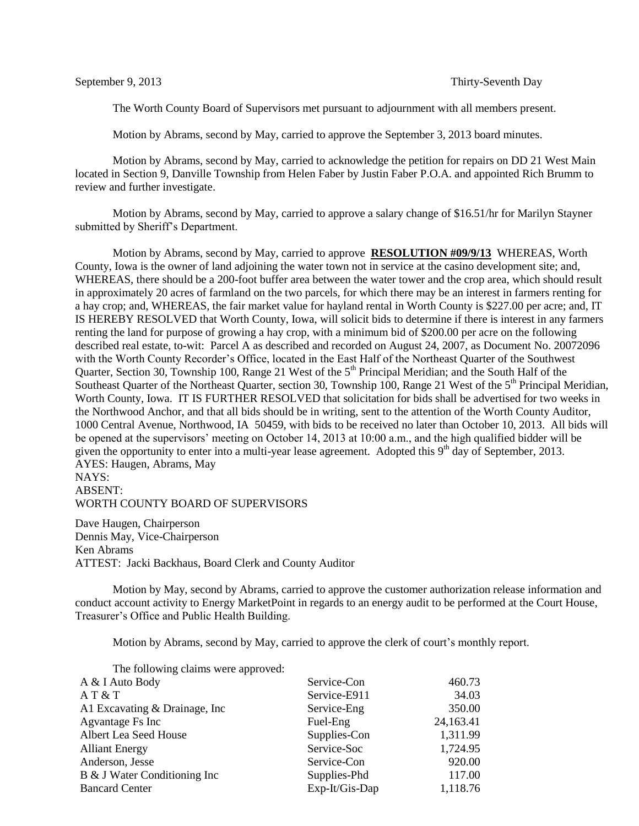The Worth County Board of Supervisors met pursuant to adjournment with all members present.

Motion by Abrams, second by May, carried to approve the September 3, 2013 board minutes.

Motion by Abrams, second by May, carried to acknowledge the petition for repairs on DD 21 West Main located in Section 9, Danville Township from Helen Faber by Justin Faber P.O.A. and appointed Rich Brumm to review and further investigate.

Motion by Abrams, second by May, carried to approve a salary change of \$16.51/hr for Marilyn Stayner submitted by Sheriff's Department.

Motion by Abrams, second by May, carried to approve **RESOLUTION #09/9/13** WHEREAS, Worth County, Iowa is the owner of land adjoining the water town not in service at the casino development site; and, WHEREAS, there should be a 200-foot buffer area between the water tower and the crop area, which should result in approximately 20 acres of farmland on the two parcels, for which there may be an interest in farmers renting for a hay crop; and, WHEREAS, the fair market value for hayland rental in Worth County is \$227.00 per acre; and, IT IS HEREBY RESOLVED that Worth County, Iowa, will solicit bids to determine if there is interest in any farmers renting the land for purpose of growing a hay crop, with a minimum bid of \$200.00 per acre on the following described real estate, to-wit: Parcel A as described and recorded on August 24, 2007, as Document No. 20072096 with the Worth County Recorder's Office, located in the East Half of the Northeast Quarter of the Southwest Quarter, Section 30, Township 100, Range 21 West of the  $5<sup>th</sup>$  Principal Meridian; and the South Half of the Southeast Quarter of the Northeast Quarter, section 30, Township 100, Range 21 West of the 5<sup>th</sup> Principal Meridian, Worth County, Iowa. IT IS FURTHER RESOLVED that solicitation for bids shall be advertised for two weeks in the Northwood Anchor, and that all bids should be in writing, sent to the attention of the Worth County Auditor, 1000 Central Avenue, Northwood, IA 50459, with bids to be received no later than October 10, 2013. All bids will be opened at the supervisors' meeting on October 14, 2013 at 10:00 a.m., and the high qualified bidder will be given the opportunity to enter into a multi-year lease agreement. Adopted this  $9<sup>th</sup>$  day of September, 2013. AYES: Haugen, Abrams, May NAYS:

ABSENT:

WORTH COUNTY BOARD OF SUPERVISORS

Dave Haugen, Chairperson Dennis May, Vice-Chairperson Ken Abrams ATTEST: Jacki Backhaus, Board Clerk and County Auditor

Motion by May, second by Abrams, carried to approve the customer authorization release information and conduct account activity to Energy MarketPoint in regards to an energy audit to be performed at the Court House, Treasurer's Office and Public Health Building.

Motion by Abrams, second by May, carried to approve the clerk of court's monthly report.

| The following claims were approved: |                |           |
|-------------------------------------|----------------|-----------|
| A & I Auto Body                     | Service-Con    | 460.73    |
| AT & T                              | Service-E911   | 34.03     |
| A1 Excavating & Drainage, Inc.      | Service-Eng    | 350.00    |
| Agvantage Fs Inc                    | Fuel-Eng       | 24,163.41 |
| Albert Lea Seed House               | Supplies-Con   | 1,311.99  |
| <b>Alliant Energy</b>               | Service-Soc    | 1,724.95  |
| Anderson, Jesse                     | Service-Con    | 920.00    |
| B & J Water Conditioning Inc        | Supplies-Phd   | 117.00    |
| <b>Bancard Center</b>               | Exp-It/Gis-Dap | 1,118.76  |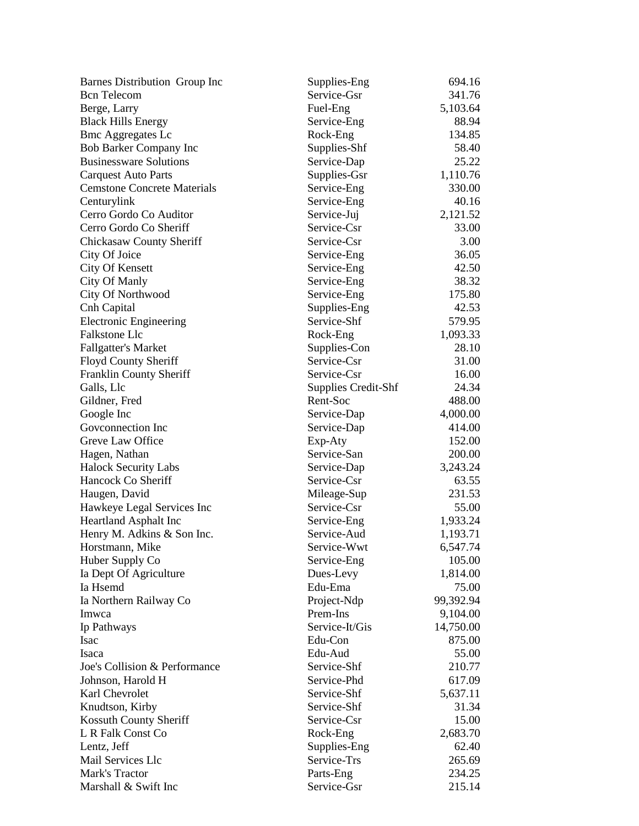| Barnes Distribution Group Inc      | Supplies-Eng               | 694.16    |
|------------------------------------|----------------------------|-----------|
| <b>Bcn</b> Telecom                 | Service-Gsr                | 341.76    |
| Berge, Larry                       | Fuel-Eng                   | 5,103.64  |
| <b>Black Hills Energy</b>          | Service-Eng                | 88.94     |
| <b>Bmc Aggregates Lc</b>           | Rock-Eng                   | 134.85    |
| <b>Bob Barker Company Inc</b>      | Supplies-Shf               | 58.40     |
| <b>Businessware Solutions</b>      | Service-Dap                | 25.22     |
| <b>Carquest Auto Parts</b>         | Supplies-Gsr               | 1,110.76  |
| <b>Cemstone Concrete Materials</b> | Service-Eng                | 330.00    |
| Centurylink                        | Service-Eng                | 40.16     |
| Cerro Gordo Co Auditor             | Service-Juj                | 2,121.52  |
| Cerro Gordo Co Sheriff             | Service-Csr                | 33.00     |
| <b>Chickasaw County Sheriff</b>    | Service-Csr                | 3.00      |
| City Of Joice                      | Service-Eng                | 36.05     |
| <b>City Of Kensett</b>             | Service-Eng                | 42.50     |
| <b>City Of Manly</b>               | Service-Eng                | 38.32     |
| City Of Northwood                  | Service-Eng                | 175.80    |
| Cnh Capital                        | Supplies-Eng               | 42.53     |
| <b>Electronic Engineering</b>      | Service-Shf                | 579.95    |
| <b>Falkstone Llc</b>               | Rock-Eng                   | 1,093.33  |
| <b>Fallgatter's Market</b>         | Supplies-Con               | 28.10     |
| Floyd County Sheriff               | Service-Csr                | 31.00     |
| Franklin County Sheriff            | Service-Csr                | 16.00     |
| Galls, Llc                         | <b>Supplies Credit-Shf</b> | 24.34     |
| Gildner, Fred                      | Rent-Soc                   | 488.00    |
| Google Inc                         | Service-Dap                | 4,000.00  |
| Goveonnection Inc                  | Service-Dap                | 414.00    |
| Greve Law Office                   | Exp-Aty                    | 152.00    |
| Hagen, Nathan                      | Service-San                | 200.00    |
| <b>Halock Security Labs</b>        | Service-Dap                | 3,243.24  |
| Hancock Co Sheriff                 | Service-Csr                | 63.55     |
| Haugen, David                      | Mileage-Sup                | 231.53    |
| Hawkeye Legal Services Inc         | Service-Csr                | 55.00     |
| <b>Heartland Asphalt Inc</b>       | Service-Eng                | 1,933.24  |
| Henry M. Adkins & Son Inc.         | Service-Aud                | 1,193.71  |
| Horstmann, Mike                    | Service-Wwt                | 6,547.74  |
| Huber Supply Co                    | Service-Eng                | 105.00    |
| Ia Dept Of Agriculture             | Dues-Levy                  | 1,814.00  |
| Ia Hsemd                           | Edu-Ema                    | 75.00     |
| Ia Northern Railway Co             | Project-Ndp                | 99,392.94 |
| Imwca                              | Prem-Ins                   | 9,104.00  |
| Ip Pathways                        | Service-It/Gis             | 14,750.00 |
| Isac                               | Edu-Con                    | 875.00    |
| Isaca                              | Edu-Aud                    | 55.00     |
| Joe's Collision & Performance      | Service-Shf                | 210.77    |
| Johnson, Harold H                  | Service-Phd                | 617.09    |
| Karl Chevrolet                     | Service-Shf                | 5,637.11  |
| Knudtson, Kirby                    | Service-Shf                | 31.34     |
| Kossuth County Sheriff             | Service-Csr                | 15.00     |
| L R Falk Const Co                  | Rock-Eng                   | 2,683.70  |
| Lentz, Jeff                        | Supplies-Eng               | 62.40     |
| Mail Services Llc                  | Service-Trs                | 265.69    |
| Mark's Tractor                     | Parts-Eng                  | 234.25    |
| Marshall & Swift Inc               | Service-Gsr                | 215.14    |